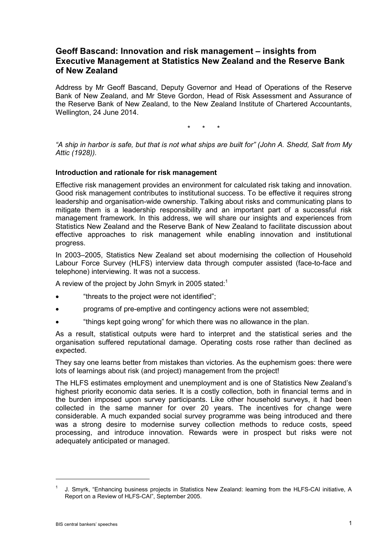# **Geoff Bascand: Innovation and risk management – insights from Executive Management at Statistics New Zealand and the Reserve Bank of New Zealand**

Address by Mr Geoff Bascand, Deputy Governor and Head of Operations of the Reserve Bank of New Zealand, and Mr Steve Gordon, Head of Risk Assessment and Assurance of the Reserve Bank of New Zealand, to the New Zealand Institute of Chartered Accountants, Wellington, 24 June 2014.

\* \* \*

*"A ship in harbor is safe, but that is not what ships are built for" (John A. Shedd, Salt from My Attic (1928)).*

#### **Introduction and rationale for risk management**

Effective risk management provides an environment for calculated risk taking and innovation. Good risk management contributes to institutional success. To be effective it requires strong leadership and organisation-wide ownership. Talking about risks and communicating plans to mitigate them is a leadership responsibility and an important part of a successful risk management framework. In this address, we will share our insights and experiences from Statistics New Zealand and the Reserve Bank of New Zealand to facilitate discussion about effective approaches to risk management while enabling innovation and institutional progress.

In 2003–2005, Statistics New Zealand set about modernising the collection of Household Labour Force Survey (HLFS) interview data through computer assisted (face-to-face and telephone) interviewing. It was not a success.

A review of the project by John Smyrk in 2005 stated: $^{\rm 1}$ 

- "threats to the project were not identified";
- programs of pre-emptive and contingency actions were not assembled;
- "things kept going wrong" for which there was no allowance in the plan.

As a result, statistical outputs were hard to interpret and the statistical series and the organisation suffered reputational damage. Operating costs rose rather than declined as expected.

They say one learns better from mistakes than victories. As the euphemism goes: there were lots of learnings about risk (and project) management from the project!

The HLFS estimates employment and unemployment and is one of Statistics New Zealand's highest priority economic data series. It is a costly collection, both in financial terms and in the burden imposed upon survey participants. Like other household surveys, it had been collected in the same manner for over 20 years. The incentives for change were considerable. A much expanded social survey programme was being introduced and there was a strong desire to modernise survey collection methods to reduce costs, speed processing, and introduce innovation. Rewards were in prospect but risks were not adequately anticipated or managed.

-

J. Smyrk, "Enhancing business projects in Statistics New Zealand: learning from the HLFS-CAI initiative, A Report on a Review of HLFS-CAI", September 2005.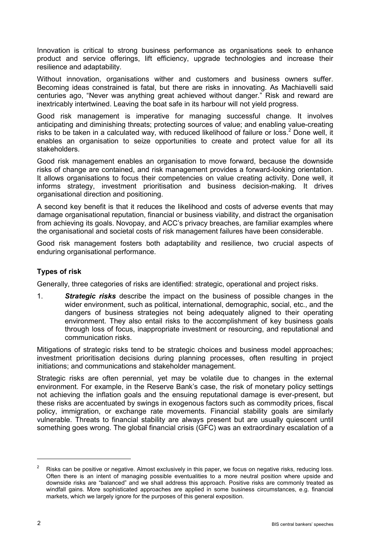Innovation is critical to strong business performance as organisations seek to enhance product and service offerings, lift efficiency, upgrade technologies and increase their resilience and adaptability.

Without innovation, organisations wither and customers and business owners suffer. Becoming ideas constrained is fatal, but there are risks in innovating. As Machiavelli said centuries ago, "Never was anything great achieved without danger." Risk and reward are inextricably intertwined. Leaving the boat safe in its harbour will not yield progress.

Good risk management is imperative for managing successful change. It involves anticipating and diminishing threats; protecting sources of value; and enabling value-creating risks to be taken in a calculated way, with reduced likelihood of failure or loss. <sup>2</sup> Done well, it enables an organisation to seize opportunities to create and protect value for all its stakeholders.

Good risk management enables an organisation to move forward, because the downside risks of change are contained, and risk management provides a forward-looking orientation. It allows organisations to focus their competencies on value creating activity. Done well, it informs strategy, investment prioritisation and business decision-making. It drives organisational direction and positioning.

A second key benefit is that it reduces the likelihood and costs of adverse events that may damage organisational reputation, financial or business viability, and distract the organisation from achieving its goals. Novopay, and ACC's privacy breaches, are familiar examples where the organisational and societal costs of risk management failures have been considerable.

Good risk management fosters both adaptability and resilience, two crucial aspects of enduring organisational performance.

## **Types of risk**

Generally, three categories of risks are identified: strategic, operational and project risks.

1. *Strategic risks* describe the impact on the business of possible changes in the wider environment, such as political, international, demographic, social, etc., and the dangers of business strategies not being adequately aligned to their operating environment. They also entail risks to the accomplishment of key business goals through loss of focus, inappropriate investment or resourcing, and reputational and communication risks.

Mitigations of strategic risks tend to be strategic choices and business model approaches; investment prioritisation decisions during planning processes, often resulting in project initiations; and communications and stakeholder management.

Strategic risks are often perennial, yet may be volatile due to changes in the external environment. For example, in the Reserve Bank's case, the risk of monetary policy settings not achieving the inflation goals and the ensuing reputational damage is ever-present, but these risks are accentuated by swings in exogenous factors such as commodity prices, fiscal policy, immigration, or exchange rate movements. Financial stability goals are similarly vulnerable. Threats to financial stability are always present but are usually quiescent until something goes wrong. The global financial crisis (GFC) was an extraordinary escalation of a

-

<sup>2</sup> Risks can be positive or negative. Almost exclusively in this paper, we focus on negative risks, reducing loss. Often there is an intent of managing possible eventualities to a more neutral position where upside and downside risks are "balanced" and we shall address this approach. Positive risks are commonly treated as windfall gains. More sophisticated approaches are applied in some business circumstances, e.g. financial markets, which we largely ignore for the purposes of this general exposition.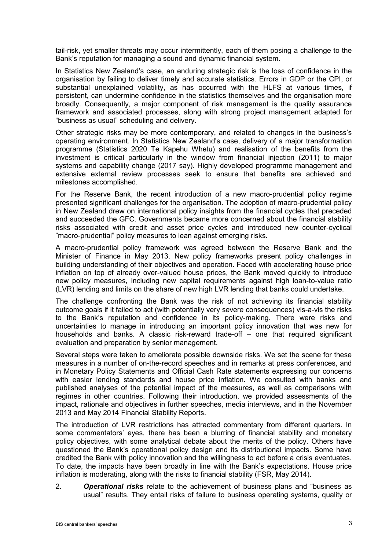tail-risk, yet smaller threats may occur intermittently, each of them posing a challenge to the Bank's reputation for managing a sound and dynamic financial system.

In Statistics New Zealand's case, an enduring strategic risk is the loss of confidence in the organisation by failing to deliver timely and accurate statistics. Errors in GDP or the CPI, or substantial unexplained volatility, as has occurred with the HLFS at various times, if persistent, can undermine confidence in the statistics themselves and the organisation more broadly. Consequently, a major component of risk management is the quality assurance framework and associated processes, along with strong project management adapted for "business as usual" scheduling and delivery.

Other strategic risks may be more contemporary, and related to changes in the business's operating environment. In Statistics New Zealand's case, delivery of a major transformation programme (Statistics 2020 Te Kapehu Whetu) and realisation of the benefits from the investment is critical particularly in the window from financial injection (2011) to major systems and capability change (2017 say). Highly developed programme management and extensive external review processes seek to ensure that benefits are achieved and milestones accomplished.

For the Reserve Bank, the recent introduction of a new macro-prudential policy regime presented significant challenges for the organisation. The adoption of macro-prudential policy in New Zealand drew on international policy insights from the financial cycles that preceded and succeeded the GFC. Governments became more concerned about the financial stability risks associated with credit and asset price cycles and introduced new counter-cyclical "macro-prudential" policy measures to lean against emerging risks.

A macro-prudential policy framework was agreed between the Reserve Bank and the Minister of Finance in May 2013. New policy frameworks present policy challenges in building understanding of their objectives and operation. Faced with accelerating house price inflation on top of already over-valued house prices, the Bank moved quickly to introduce new policy measures, including new capital requirements against high loan-to-value ratio (LVR) lending and limits on the share of new high LVR lending that banks could undertake.

The challenge confronting the Bank was the risk of not achieving its financial stability outcome goals if it failed to act (with potentially very severe consequences) vis-a-vis the risks to the Bank's reputation and confidence in its policy-making. There were risks and uncertainties to manage in introducing an important policy innovation that was new for households and banks. A classic risk-reward trade-off – one that required significant evaluation and preparation by senior management.

Several steps were taken to ameliorate possible downside risks. We set the scene for these measures in a number of on-the-record speeches and in remarks at press conferences, and in Monetary Policy Statements and Official Cash Rate statements expressing our concerns with easier lending standards and house price inflation. We consulted with banks and published analyses of the potential impact of the measures, as well as comparisons with regimes in other countries. Following their introduction, we provided assessments of the impact, rationale and objectives in further speeches, media interviews, and in the November 2013 and May 2014 Financial Stability Reports.

The introduction of LVR restrictions has attracted commentary from different quarters. In some commentators' eyes, there has been a blurring of financial stability and monetary policy objectives, with some analytical debate about the merits of the policy. Others have questioned the Bank's operational policy design and its distributional impacts. Some have credited the Bank with policy innovation and the willingness to act before a crisis eventuates. To date, the impacts have been broadly in line with the Bank's expectations. House price inflation is moderating, along with the risks to financial stability (FSR, May 2014).

2. *Operational risks* relate to the achievement of business plans and "business as usual" results. They entail risks of failure to business operating systems, quality or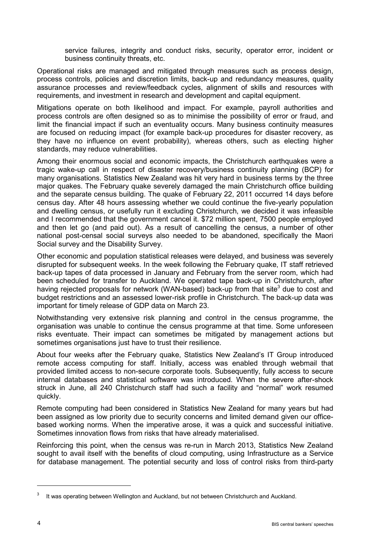service failures, integrity and conduct risks, security, operator error, incident or business continuity threats, etc.

Operational risks are managed and mitigated through measures such as process design, process controls, policies and discretion limits, back-up and redundancy measures, quality assurance processes and review/feedback cycles, alignment of skills and resources with requirements, and investment in research and development and capital equipment.

Mitigations operate on both likelihood and impact. For example, payroll authorities and process controls are often designed so as to minimise the possibility of error or fraud, and limit the financial impact if such an eventuality occurs. Many business continuity measures are focused on reducing impact (for example back-up procedures for disaster recovery, as they have no influence on event probability), whereas others, such as electing higher standards, may reduce vulnerabilities.

Among their enormous social and economic impacts, the Christchurch earthquakes were a tragic wake-up call in respect of disaster recovery/business continuity planning (BCP) for many organisations. Statistics New Zealand was hit very hard in business terms by the three major quakes. The February quake severely damaged the main Christchurch office building and the separate census building. The quake of February 22, 2011 occurred 14 days before census day. After 48 hours assessing whether we could continue the five-yearly population and dwelling census, or usefully run it excluding Christchurch, we decided it was infeasible and I recommended that the government cancel it. \$72 million spent, 7500 people employed and then let go (and paid out). As a result of cancelling the census, a number of other national post-censal social surveys also needed to be abandoned, specifically the Maori Social survey and the Disability Survey.

Other economic and population statistical releases were delayed, and business was severely disrupted for subsequent weeks. In the week following the February quake, IT staff retrieved back-up tapes of data processed in January and February from the server room, which had been scheduled for transfer to Auckland. We operated tape back-up in Christchurch, after having rejected proposals for network (WAN-based) back-up from that site<sup>3</sup> due to cost and budget restrictions and an assessed lower-risk profile in Christchurch. The back-up data was important for timely release of GDP data on March 23.

Notwithstanding very extensive risk planning and control in the census programme, the organisation was unable to continue the census programme at that time. Some unforeseen risks eventuate. Their impact can sometimes be mitigated by management actions but sometimes organisations just have to trust their resilience.

About four weeks after the February quake, Statistics New Zealand's IT Group introduced remote access computing for staff. Initially, access was enabled through webmail that provided limited access to non-secure corporate tools. Subsequently, fully access to secure internal databases and statistical software was introduced. When the severe after-shock struck in June, all 240 Christchurch staff had such a facility and "normal" work resumed quickly.

Remote computing had been considered in Statistics New Zealand for many years but had been assigned as low priority due to security concerns and limited demand given our officebased working norms. When the imperative arose, it was a quick and successful initiative. Sometimes innovation flows from risks that have already materialised.

Reinforcing this point, when the census was re-run in March 2013, Statistics New Zealand sought to avail itself with the benefits of cloud computing, using Infrastructure as a Service for database management. The potential security and loss of control risks from third-party

-

It was operating between Wellington and Auckland, but not between Christchurch and Auckland.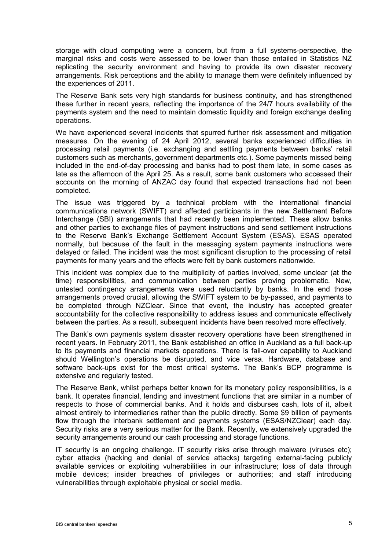storage with cloud computing were a concern, but from a full systems-perspective, the marginal risks and costs were assessed to be lower than those entailed in Statistics NZ replicating the security environment and having to provide its own disaster recovery arrangements. Risk perceptions and the ability to manage them were definitely influenced by the experiences of 2011.

The Reserve Bank sets very high standards for business continuity, and has strengthened these further in recent years, reflecting the importance of the 24/7 hours availability of the payments system and the need to maintain domestic liquidity and foreign exchange dealing operations.

We have experienced several incidents that spurred further risk assessment and mitigation measures. On the evening of 24 April 2012, several banks experienced difficulties in processing retail payments (i.e. exchanging and settling payments between banks' retail customers such as merchants, government departments etc.). Some payments missed being included in the end-of-day processing and banks had to post them late, in some cases as late as the afternoon of the April 25. As a result, some bank customers who accessed their accounts on the morning of ANZAC day found that expected transactions had not been completed.

The issue was triggered by a technical problem with the international financial communications network (SWIFT) and affected participants in the new Settlement Before Interchange (SBI) arrangements that had recently been implemented. These allow banks and other parties to exchange files of payment instructions and send settlement instructions to the Reserve Bank's Exchange Settlement Account System (ESAS). ESAS operated normally, but because of the fault in the messaging system payments instructions were delayed or failed. The incident was the most significant disruption to the processing of retail payments for many years and the effects were felt by bank customers nationwide.

This incident was complex due to the multiplicity of parties involved, some unclear (at the time) responsibilities, and communication between parties proving problematic. New, untested contingency arrangements were used reluctantly by banks. In the end those arrangements proved crucial, allowing the SWIFT system to be by-passed, and payments to be completed through NZClear. Since that event, the industry has accepted greater accountability for the collective responsibility to address issues and communicate effectively between the parties. As a result, subsequent incidents have been resolved more effectively.

The Bank's own payments system disaster recovery operations have been strengthened in recent years. In February 2011, the Bank established an office in Auckland as a full back-up to its payments and financial markets operations. There is fail-over capability to Auckland should Wellington's operations be disrupted, and vice versa. Hardware, database and software back-ups exist for the most critical systems. The Bank's BCP programme is extensive and regularly tested.

The Reserve Bank, whilst perhaps better known for its monetary policy responsibilities, is a bank. It operates financial, lending and investment functions that are similar in a number of respects to those of commercial banks. And it holds and disburses cash, lots of it, albeit almost entirely to intermediaries rather than the public directly. Some \$9 billion of payments flow through the interbank settlement and payments systems (ESAS/NZClear) each day. Security risks are a very serious matter for the Bank. Recently, we extensively upgraded the security arrangements around our cash processing and storage functions.

IT security is an ongoing challenge. IT security risks arise through malware (viruses etc); cyber attacks (hacking and denial of service attacks) targeting external-facing publicly available services or exploiting vulnerabilities in our infrastructure; loss of data through mobile devices; insider breaches of privileges or authorities; and staff introducing vulnerabilities through exploitable physical or social media.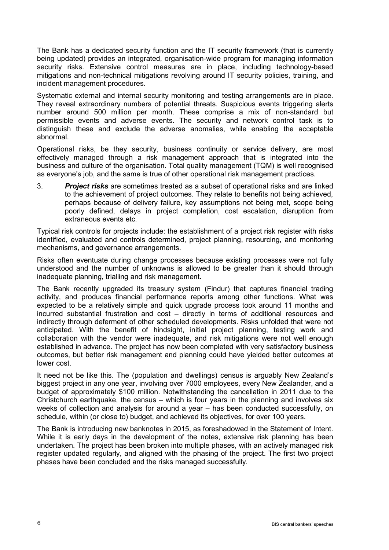The Bank has a dedicated security function and the IT security framework (that is currently being updated) provides an integrated, organisation-wide program for managing information security risks. Extensive control measures are in place, including technology-based mitigations and non-technical mitigations revolving around IT security policies, training, and incident management procedures.

Systematic external and internal security monitoring and testing arrangements are in place. They reveal extraordinary numbers of potential threats. Suspicious events triggering alerts number around 500 million per month. These comprise a mix of non-standard but permissible events and adverse events. The security and network control task is to distinguish these and exclude the adverse anomalies, while enabling the acceptable abnormal.

Operational risks, be they security, business continuity or service delivery, are most effectively managed through a risk management approach that is integrated into the business and culture of the organisation. Total quality management (TQM) is well recognised as everyone's job, and the same is true of other operational risk management practices.

3. *Project risks* are sometimes treated as a subset of operational risks and are linked to the achievement of project outcomes. They relate to benefits not being achieved, perhaps because of delivery failure, key assumptions not being met, scope being poorly defined, delays in project completion, cost escalation, disruption from extraneous events etc.

Typical risk controls for projects include: the establishment of a project risk register with risks identified, evaluated and controls determined, project planning, resourcing, and monitoring mechanisms, and governance arrangements.

Risks often eventuate during change processes because existing processes were not fully understood and the number of unknowns is allowed to be greater than it should through inadequate planning, trialling and risk management.

The Bank recently upgraded its treasury system (Findur) that captures financial trading activity, and produces financial performance reports among other functions. What was expected to be a relatively simple and quick upgrade process took around 11 months and incurred substantial frustration and cost – directly in terms of additional resources and indirectly through deferment of other scheduled developments. Risks unfolded that were not anticipated. With the benefit of hindsight, initial project planning, testing work and collaboration with the vendor were inadequate, and risk mitigations were not well enough established in advance. The project has now been completed with very satisfactory business outcomes, but better risk management and planning could have yielded better outcomes at lower cost.

It need not be like this. The (population and dwellings) census is arguably New Zealand's biggest project in any one year, involving over 7000 employees, every New Zealander, and a budget of approximately \$100 million. Notwithstanding the cancellation in 2011 due to the Christchurch earthquake, the census – which is four years in the planning and involves six weeks of collection and analysis for around a year – has been conducted successfully, on schedule, within (or close to) budget, and achieved its objectives, for over 100 years.

The Bank is introducing new banknotes in 2015, as foreshadowed in the Statement of Intent. While it is early days in the development of the notes, extensive risk planning has been undertaken. The project has been broken into multiple phases, with an actively managed risk register updated regularly, and aligned with the phasing of the project. The first two project phases have been concluded and the risks managed successfully.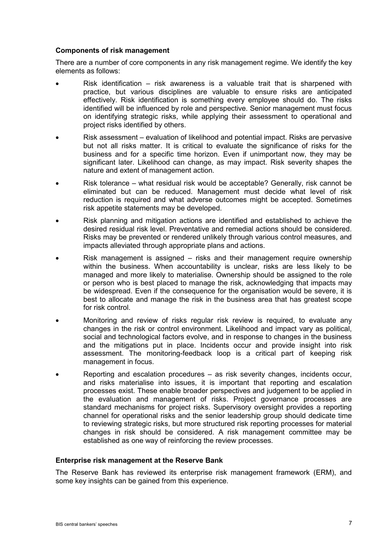#### **Components of risk management**

There are a number of core components in any risk management regime. We identify the key elements as follows:

- Risk identification risk awareness is a valuable trait that is sharpened with practice, but various disciplines are valuable to ensure risks are anticipated effectively. Risk identification is something every employee should do. The risks identified will be influenced by role and perspective. Senior management must focus on identifying strategic risks, while applying their assessment to operational and project risks identified by others.
- Risk assessment evaluation of likelihood and potential impact. Risks are pervasive but not all risks matter. It is critical to evaluate the significance of risks for the business and for a specific time horizon. Even if unimportant now, they may be significant later. Likelihood can change, as may impact. Risk severity shapes the nature and extent of management action.
- Risk tolerance what residual risk would be acceptable? Generally, risk cannot be eliminated but can be reduced. Management must decide what level of risk reduction is required and what adverse outcomes might be accepted. Sometimes risk appetite statements may be developed.
- Risk planning and mitigation actions are identified and established to achieve the desired residual risk level. Preventative and remedial actions should be considered. Risks may be prevented or rendered unlikely through various control measures, and impacts alleviated through appropriate plans and actions.
- Risk management is assigned risks and their management require ownership within the business. When accountability is unclear, risks are less likely to be managed and more likely to materialise. Ownership should be assigned to the role or person who is best placed to manage the risk, acknowledging that impacts may be widespread. Even if the consequence for the organisation would be severe, it is best to allocate and manage the risk in the business area that has greatest scope for risk control.
- Monitoring and review of risks regular risk review is required, to evaluate any changes in the risk or control environment. Likelihood and impact vary as political, social and technological factors evolve, and in response to changes in the business and the mitigations put in place. Incidents occur and provide insight into risk assessment. The monitoring-feedback loop is a critical part of keeping risk management in focus.
- Reporting and escalation procedures as risk severity changes, incidents occur, and risks materialise into issues, it is important that reporting and escalation processes exist. These enable broader perspectives and judgement to be applied in the evaluation and management of risks. Project governance processes are standard mechanisms for project risks. Supervisory oversight provides a reporting channel for operational risks and the senior leadership group should dedicate time to reviewing strategic risks, but more structured risk reporting processes for material changes in risk should be considered. A risk management committee may be established as one way of reinforcing the review processes.

### **Enterprise risk management at the Reserve Bank**

The Reserve Bank has reviewed its enterprise risk management framework (ERM), and some key insights can be gained from this experience.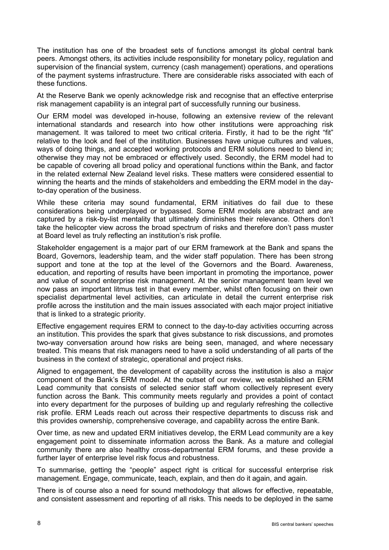The institution has one of the broadest sets of functions amongst its global central bank peers. Amongst others, its activities include responsibility for monetary policy, regulation and supervision of the financial system, currency (cash management) operations, and operations of the payment systems infrastructure. There are considerable risks associated with each of these functions.

At the Reserve Bank we openly acknowledge risk and recognise that an effective enterprise risk management capability is an integral part of successfully running our business.

Our ERM model was developed in-house, following an extensive review of the relevant international standards and research into how other institutions were approaching risk management. It was tailored to meet two critical criteria. Firstly, it had to be the right "fit" relative to the look and feel of the institution. Businesses have unique cultures and values, ways of doing things, and accepted working protocols and ERM solutions need to blend in; otherwise they may not be embraced or effectively used. Secondly, the ERM model had to be capable of covering all broad policy and operational functions within the Bank, and factor in the related external New Zealand level risks. These matters were considered essential to winning the hearts and the minds of stakeholders and embedding the ERM model in the dayto-day operation of the business.

While these criteria may sound fundamental, ERM initiatives do fail due to these considerations being underplayed or bypassed. Some ERM models are abstract and are captured by a risk-by-list mentality that ultimately diminishes their relevance. Others don't take the helicopter view across the broad spectrum of risks and therefore don't pass muster at Board level as truly reflecting an institution's risk profile.

Stakeholder engagement is a major part of our ERM framework at the Bank and spans the Board, Governors, leadership team, and the wider staff population. There has been strong support and tone at the top at the level of the Governors and the Board. Awareness, education, and reporting of results have been important in promoting the importance, power and value of sound enterprise risk management. At the senior management team level we now pass an important litmus test in that every member, whilst often focusing on their own specialist departmental level activities, can articulate in detail the current enterprise risk profile across the institution and the main issues associated with each major project initiative that is linked to a strategic priority.

Effective engagement requires ERM to connect to the day-to-day activities occurring across an institution. This provides the spark that gives substance to risk discussions, and promotes two-way conversation around how risks are being seen, managed, and where necessary treated. This means that risk managers need to have a solid understanding of all parts of the business in the context of strategic, operational and project risks.

Aligned to engagement, the development of capability across the institution is also a major component of the Bank's ERM model. At the outset of our review, we established an ERM Lead community that consists of selected senior staff whom collectively represent every function across the Bank. This community meets regularly and provides a point of contact into every department for the purposes of building up and regularly refreshing the collective risk profile. ERM Leads reach out across their respective departments to discuss risk and this provides ownership, comprehensive coverage, and capability across the entire Bank.

Over time, as new and updated ERM initiatives develop, the ERM Lead community are a key engagement point to disseminate information across the Bank. As a mature and collegial community there are also healthy cross-departmental ERM forums, and these provide a further layer of enterprise level risk focus and robustness.

To summarise, getting the "people" aspect right is critical for successful enterprise risk management. Engage, communicate, teach, explain, and then do it again, and again.

There is of course also a need for sound methodology that allows for effective, repeatable, and consistent assessment and reporting of all risks. This needs to be deployed in the same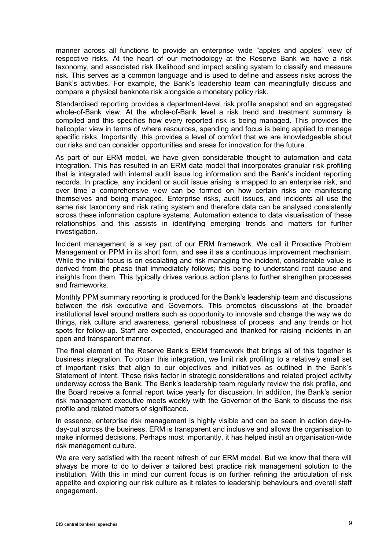manner across all functions to provide an enterprise wide "apples and apples" view of respective risks. At the heart of our methodology at the Reserve Bank we have a risk taxonomy, and associated risk likelihood and impact scaling system to classify and measure risk. This serves as a common language and is used to define and assess risks across the Bank's activities. For example, the Bank's leadership team can meaningfully discuss and compare a physical banknote risk alongside a monetary policy risk.

Standardised reporting provides a department-level risk profile snapshot and an aggregated whole-of-Bank view. At the whole-of-Bank level a risk trend and treatment summary is compiled and this specifies how every reported risk is being managed. This provides the helicopter view in terms of where resources, spending and focus is being applied to manage specific risks. Importantly, this provides a level of comfort that we are knowledgeable about our risks and can consider opportunities and areas for innovation for the future.

As part of our ERM model, we have given considerable thought to automation and data integration. This has resulted in an ERM data model that incorporates granular risk profiling that is integrated with internal audit issue log information and the Bank's incident reporting records. In practice, any incident or audit issue arising is mapped to an enterprise risk, and over time a comprehensive view can be formed on how certain risks are manifesting themselves and being managed. Enterprise risks, audit issues, and incidents all use the same risk taxonomy and risk rating system and therefore data can be analysed consistently across these information capture systems. Automation extends to data visualisation of these relationships and this assists in identifying emerging trends and matters for further investigation.

Incident management is a key part of our ERM framework. We call it Proactive Problem Management or PPM in its short form, and see it as a continuous improvement mechanism. While the initial focus is on escalating and risk managing the incident, considerable value is derived from the phase that immediately follows; this being to understand root cause and insights from them. This typically drives various action plans to further strengthen processes and frameworks.

Monthly PPM summary reporting is produced for the Bank's leadership team and discussions between the risk executive and Governors. This promotes discussions at the broader institutional level around matters such as opportunity to innovate and change the way we do things, risk culture and awareness, general robustness of process, and any trends or hot spots for follow-up. Staff are expected, encouraged and thanked for raising incidents in an open and transparent manner.

The final element of the Reserve Bank's ERM framework that brings all of this together is business integration. To obtain this integration, we limit risk profiling to a relatively small set of important risks that align to our objectives and initiatives as outlined in the Bank's Statement of Intent. These risks factor in strategic considerations and related project activity underway across the Bank. The Bank's leadership team regularly review the risk profile, and the Board receive a formal report twice yearly for discussion. In addition, the Bank's senior risk management executive meets weekly with the Governor of the Bank to discuss the risk profile and related matters of significance.

In essence, enterprise risk management is highly visible and can be seen in action day-inday-out across the business. ERM is transparent and inclusive and allows the organisation to make informed decisions. Perhaps most importantly, it has helped instil an organisation-wide risk management culture.

We are very satisfied with the recent refresh of our ERM model. But we know that there will always be more to do to deliver a tailored best practice risk management solution to the institution. With this in mind our current focus is on further refining the articulation of risk appetite and exploring our risk culture as it relates to leadership behaviours and overall staff engagement.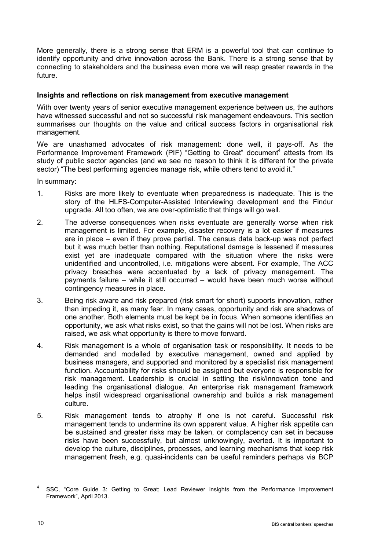More generally, there is a strong sense that ERM is a powerful tool that can continue to identify opportunity and drive innovation across the Bank. There is a strong sense that by connecting to stakeholders and the business even more we will reap greater rewards in the future.

#### **Insights and reflections on risk management from executive management**

With over twenty years of senior executive management experience between us, the authors have witnessed successful and not so successful risk management endeavours. This section summarises our thoughts on the value and critical success factors in organisational risk management.

We are unashamed advocates of risk management: done well, it pays-off. As the Performance Improvement Framework (PIF) "Getting to Great" document<sup>4</sup> attests from its study of public sector agencies (and we see no reason to think it is different for the private sector) "The best performing agencies manage risk, while others tend to avoid it."

In summary:

- 1. Risks are more likely to eventuate when preparedness is inadequate. This is the story of the HLFS-Computer-Assisted Interviewing development and the Findur upgrade. All too often, we are over-optimistic that things will go well.
- 2. The adverse consequences when risks eventuate are generally worse when risk management is limited. For example, disaster recovery is a lot easier if measures are in place – even if they prove partial. The census data back-up was not perfect but it was much better than nothing. Reputational damage is lessened if measures exist yet are inadequate compared with the situation where the risks were unidentified and uncontrolled, i.e. mitigations were absent. For example, The ACC privacy breaches were accentuated by a lack of privacy management. The payments failure – while it still occurred – would have been much worse without contingency measures in place.
- 3. Being risk aware and risk prepared (risk smart for short) supports innovation, rather than impeding it, as many fear. In many cases, opportunity and risk are shadows of one another. Both elements must be kept be in focus. When someone identifies an opportunity, we ask what risks exist, so that the gains will not be lost. When risks are raised, we ask what opportunity is there to move forward.
- 4. Risk management is a whole of organisation task or responsibility. It needs to be demanded and modelled by executive management, owned and applied by business managers, and supported and monitored by a specialist risk management function. Accountability for risks should be assigned but everyone is responsible for risk management. Leadership is crucial in setting the risk/innovation tone and leading the organisational dialogue. An enterprise risk management framework helps instil widespread organisational ownership and builds a risk management culture.
- 5. Risk management tends to atrophy if one is not careful. Successful risk management tends to undermine its own apparent value. A higher risk appetite can be sustained and greater risks may be taken, or complacency can set in because risks have been successfully, but almost unknowingly, averted. It is important to develop the culture, disciplines, processes, and learning mechanisms that keep risk management fresh, e.g. quasi-incidents can be useful reminders perhaps via BCP

 $\overline{a}$ 

SSC, "Core Guide 3: Getting to Great; Lead Reviewer insights from the Performance Improvement Framework", April 2013.